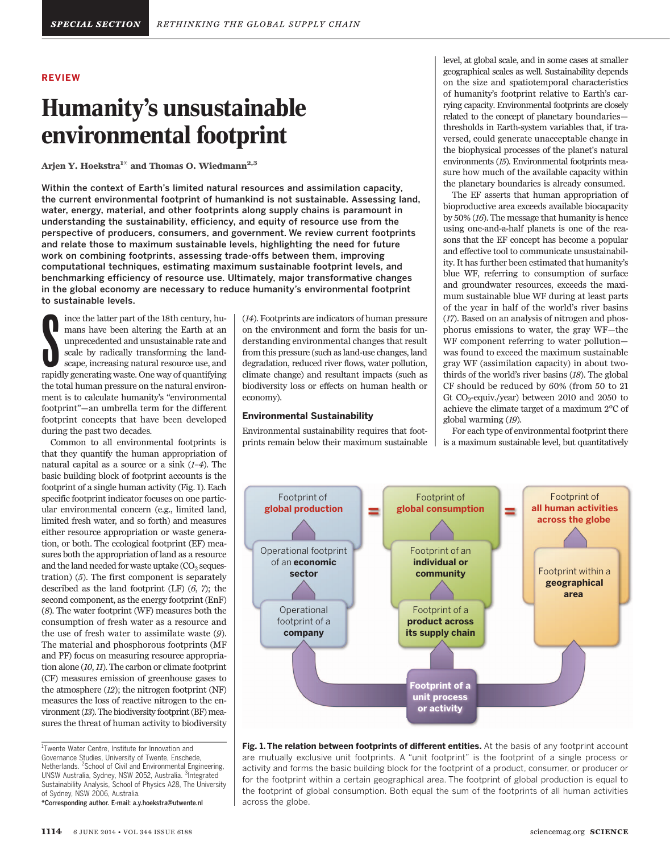## REVIEW

# Humanity*'*s unsustainable environmental footprint

Arjen Y. Hoekstra $^{\rm 1\ast}$  and Thomas O. Wiedmann $^{\rm 2,3}$ 

Within the context of Earth's limited natural resources and assimilation capacity, the current environmental footprint of humankind is not sustainable. Assessing land, water, energy, material, and other footprints along supply chains is paramount in understanding the sustainability, efficiency, and equity of resource use from the perspective of producers, consumers, and government. We review current footprints and relate those to maximum sustainable levels, highlighting the need for future work on combining footprints, assessing trade-offs between them, improving computational techniques, estimating maximum sustainable footprint levels, and benchmarking efficiency of resource use. Ultimately, major transformative changes in the global economy are necessary to reduce humanity's environmental footprint to sustainable levels.

Fince the latter part of the 18th century, humans have been altering the Earth at an unprecedented and unsustainable rate and scale by radically transforming the land-scape, increasing natural resource use, and rapidly gen ince the latter part of the 18th century, humans have been altering the Earth at an unprecedented and unsustainable rate and scale by radically transforming the landscape, increasing natural resource use, and the total human pressure on the natural environment is to calculate humanity's "environmental footprint"—an umbrella term for the different footprint concepts that have been developed during the past two decades.

Common to all environmental footprints is that they quantify the human appropriation of natural capital as a source or a sink  $(1-4)$ . The basic building block of footprint accounts is the footprint of a single human activity (Fig. 1). Each specific footprint indicator focuses on one particular environmental concern (e.g., limited land, limited fresh water, and so forth) and measures either resource appropriation or waste generation, or both. The ecological footprint (EF) measures both the appropriation of land as a resource and the land needed for waste uptake  $(CO<sub>2</sub>$  sequestration) (5). The first component is separately described as the land footprint  $(LF)$   $(6, 7)$ ; the second component, as the energy footprint (EnF) (8). The water footprint (WF) measures both the consumption of fresh water as a resource and the use of fresh water to assimilate waste (9). The material and phosphorous footprints (MF and PF) focus on measuring resource appropriation alone (10,11). The carbon or climate footprint (CF) measures emission of greenhouse gases to the atmosphere (12); the nitrogen footprint (NF) measures the loss of reactive nitrogen to the environment (13). The biodiversity footprint (BF) measures the threat of human activity to biodiversity

<sup>1</sup>Twente Water Centre, Institute for Innovation and Governance Studies, University of Twente, Enschede, Netherlands. <sup>2</sup>School of Civil and Environmental Engineering, UNSW Australia, Sydney, NSW 2052, Australia. <sup>3</sup>Integrated Sustainability Analysis, School of Physics A28, The University of Sydney, NSW 2006, Australia.

\*Corresponding author. E-mail: a.y.hoekstra@utwente.nl

(14). Footprints are indicators of human pressure on the environment and form the basis for understanding environmental changes that result from this pressure (such as land-use changes, land degradation, reduced river flows, water pollution, climate change) and resultant impacts (such as biodiversity loss or effects on human health or economy).

#### Environmental Sustainability

Environmental sustainability requires that footprints remain below their maximum sustainable level, at global scale, and in some cases at smaller geographical scales as well. Sustainability depends on the size and spatiotemporal characteristics of humanity's footprint relative to Earth's carrying capacity. Environmental footprints are closely related to the concept of planetary boundaries thresholds in Earth-system variables that, if traversed, could generate unacceptable change in the biophysical processes of the planet's natural environments (15). Environmental footprints measure how much of the available capacity within the planetary boundaries is already consumed.

The EF asserts that human appropriation of bioproductive area exceeds available biocapacity by 50% (16). The message that humanity is hence using one-and-a-half planets is one of the reasons that the EF concept has become a popular and effective tool to communicate unsustainability. It has further been estimated that humanity's blue WF, referring to consumption of surface and groundwater resources, exceeds the maximum sustainable blue WF during at least parts of the year in half of the world's river basins (17). Based on an analysis of nitrogen and phosphorus emissions to water, the gray WF—the WF component referring to water pollution was found to exceed the maximum sustainable gray WF (assimilation capacity) in about twothirds of the world's river basins (18). The global CF should be reduced by 60% (from 50 to 21 Gt CO2-equiv./year) between 2010 and 2050 to achieve the climate target of a maximum 2°C of global warming (19).

For each type of environmental footprint there is a maximum sustainable level, but quantitatively



Fig. 1. The relation between footprints of different entities. At the basis of any footprint account are mutually exclusive unit footprints. A "unit footprint" is the footprint of a single process or activity and forms the basic building block for the footprint of a product, consumer, or producer or for the footprint within a certain geographical area. The footprint of global production is equal to the footprint of global consumption. Both equal the sum of the footprints of all human activities across the globe.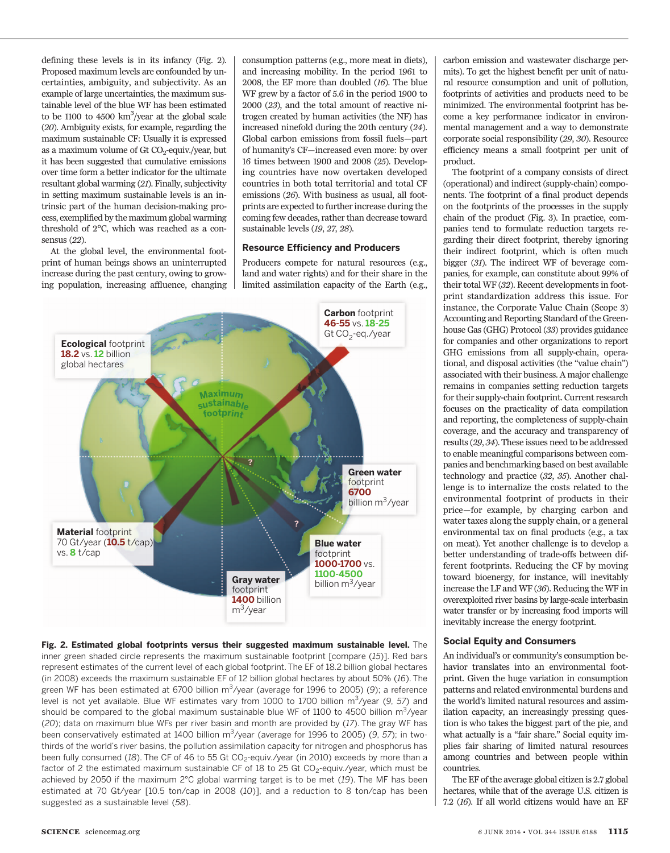defining these levels is in its infancy (Fig. 2). Proposed maximum levels are confounded by uncertainties, ambiguity, and subjectivity. As an example of large uncertainties, the maximum sustainable level of the blue WF has been estimated to be 1100 to 4500 km<sup>3</sup>/year at the global scale (20). Ambiguity exists, for example, regarding the maximum sustainable CF: Usually it is expressed as a maximum volume of Gt  $CO<sub>2</sub>$ -equiv./year, but it has been suggested that cumulative emissions over time form a better indicator for the ultimate resultant global warming (21). Finally, subjectivity in setting maximum sustainable levels is an intrinsic part of the human decision-making process, exemplified by the maximum global warming threshold of 2°C, which was reached as a consensus (22).

At the global level, the environmental footprint of human beings shows an uninterrupted increase during the past century, owing to growing population, increasing affluence, changing

consumption patterns (e.g., more meat in diets), and increasing mobility. In the period 1961 to 2008, the EF more than doubled (16). The blue WF grew by a factor of 5.6 in the period 1900 to 2000 (23), and the total amount of reactive nitrogen created by human activities (the NF) has increased ninefold during the 20th century (24). Global carbon emissions from fossil fuels—part of humanity's CF—increased even more: by over 16 times between 1900 and 2008 (25). Developing countries have now overtaken developed countries in both total territorial and total CF emissions (26). With business as usual, all footprints are expected to further increase during the coming few decades, rather than decrease toward sustainable levels (19, 27, 28).

# Resource Efficiency and Producers

Producers compete for natural resources (e.g., land and water rights) and for their share in the limited assimilation capacity of the Earth (e.g.,



Fig. 2. Estimated global footprints versus their suggested maximum sustainable level. The inner green shaded circle represents the maximum sustainable footprint [compare (15)]. Red bars represent estimates of the current level of each global footprint. The EF of 18.2 billion global hectares (in 2008) exceeds the maximum sustainable EF of 12 billion global hectares by about 50% (16). The green WF has been estimated at 6700 billion m<sup>3</sup>/year (average for 1996 to 2005) (9); a reference level is not yet available. Blue WF estimates vary from 1000 to 1700 billion m<sup>3</sup>/year (9, 57) and should be compared to the global maximum sustainable blue WF of 1100 to 4500 billion m<sup>3</sup>/year (20); data on maximum blue WFs per river basin and month are provided by (17). The gray WF has been conservatively estimated at 1400 billion m<sup>3</sup>/year (average for 1996 to 2005) (9, 57); in twothirds of the world's river basins, the pollution assimilation capacity for nitrogen and phosphorus has been fully consumed (18). The CF of 46 to 55 Gt CO<sub>2</sub>-equiv./year (in 2010) exceeds by more than a factor of 2 the estimated maximum sustainable CF of 18 to 25 Gt CO<sub>2</sub>-equiv./year, which must be achieved by 2050 if the maximum 2°C global warming target is to be met (19). The MF has been estimated at 70 Gt/year [10.5 ton/cap in 2008 (10)], and a reduction to 8 ton/cap has been suggested as a sustainable level (58).

carbon emission and wastewater discharge permits). To get the highest benefit per unit of natural resource consumption and unit of pollution, footprints of activities and products need to be minimized. The environmental footprint has become a key performance indicator in environmental management and a way to demonstrate corporate social responsibility (29, 30). Resource efficiency means a small footprint per unit of product.

The footprint of a company consists of direct (operational) and indirect (supply-chain) components. The footprint of a final product depends on the footprints of the processes in the supply chain of the product (Fig. 3). In practice, companies tend to formulate reduction targets regarding their direct footprint, thereby ignoring their indirect footprint, which is often much bigger (31). The indirect WF of beverage companies, for example, can constitute about 99% of their total WF (32). Recent developments in footprint standardization address this issue. For instance, the Corporate Value Chain (Scope 3) Accounting and Reporting Standard of the Greenhouse Gas (GHG) Protocol (33) provides guidance for companies and other organizations to report GHG emissions from all supply-chain, operational, and disposal activities (the "value chain") associated with their business. A major challenge remains in companies setting reduction targets for their supply-chain footprint. Current research focuses on the practicality of data compilation and reporting, the completeness of supply-chain coverage, and the accuracy and transparency of results (29, 34). These issues need to be addressed to enable meaningful comparisons between companies and benchmarking based on best available technology and practice (32, 35). Another challenge is to internalize the costs related to the environmental footprint of products in their price—for example, by charging carbon and water taxes along the supply chain, or a general environmental tax on final products (e.g., a tax on meat). Yet another challenge is to develop a better understanding of trade-offs between different footprints. Reducing the CF by moving toward bioenergy, for instance, will inevitably increase the LF and WF (36). Reducing the WF in overexploited river basins by large-scale interbasin water transfer or by increasing food imports will inevitably increase the energy footprint.

### Social Equity and Consumers

An individual's or community's consumption behavior translates into an environmental footprint. Given the huge variation in consumption patterns and related environmental burdens and the world's limited natural resources and assimilation capacity, an increasingly pressing question is who takes the biggest part of the pie, and what actually is a "fair share." Social equity implies fair sharing of limited natural resources among countries and between people within countries.

The EF of the average global citizen is 2.7 global hectares, while that of the average U.S. citizen is 7.2 (16). If all world citizens would have an EF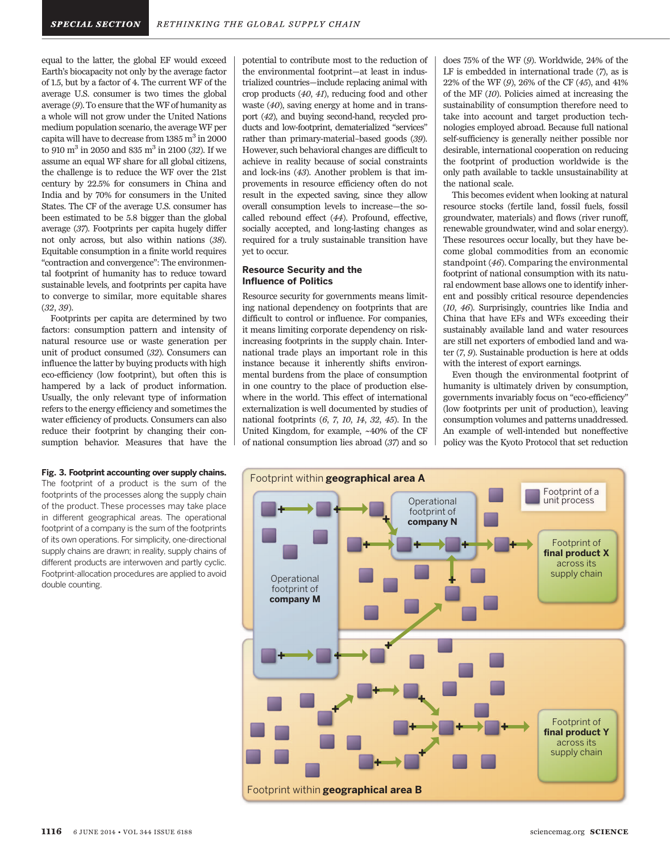equal to the latter, the global EF would exceed Earth's biocapacity not only by the average factor of 1.5, but by a factor of 4. The current WF of the average U.S. consumer is two times the global average (9). To ensure that the WF of humanity as a whole will not grow under the United Nations medium population scenario, the average WF per capita will have to decrease from  $1385 \text{ m}^3$  in 2000 to 910 m<sup>3</sup> in 2050 and 835 m<sup>3</sup> in 2100 (32). If we assume an equal WF share for all global citizens, the challenge is to reduce the WF over the 21st century by 22.5% for consumers in China and India and by 70% for consumers in the United States. The CF of the average U.S. consumer has been estimated to be 5.8 bigger than the global average (37). Footprints per capita hugely differ not only across, but also within nations (38). Equitable consumption in a finite world requires "contraction and convergence": The environmental footprint of humanity has to reduce toward sustainable levels, and footprints per capita have to converge to similar, more equitable shares (32, 39).

Footprints per capita are determined by two factors: consumption pattern and intensity of natural resource use or waste generation per unit of product consumed (32). Consumers can influence the latter by buying products with high eco-efficiency (low footprint), but often this is hampered by a lack of product information. Usually, the only relevant type of information refers to the energy efficiency and sometimes the water efficiency of products. Consumers can also reduce their footprint by changing their consumption behavior. Measures that have the

#### Fig. 3. Footprint accounting over supply chains.

The footprint of a product is the sum of the footprints of the processes along the supply chain of the product. These processes may take place in different geographical areas. The operational footprint of a company is the sum of the footprints of its own operations. For simplicity, one-directional supply chains are drawn; in reality, supply chains of different products are interwoven and partly cyclic. Footprint-allocation procedures are applied to avoid double counting.

potential to contribute most to the reduction of the environmental footprint—at least in industrialized countries—include replacing animal with crop products (40, 41), reducing food and other waste (40), saving energy at home and in transport (42), and buying second-hand, recycled products and low-footprint, dematerialized "services" rather than primary-material–based goods (39). However, such behavioral changes are difficult to achieve in reality because of social constraints and lock-ins (43). Another problem is that improvements in resource efficiency often do not result in the expected saving, since they allow overall consumption levels to increase—the socalled rebound effect (44). Profound, effective, socially accepted, and long-lasting changes as required for a truly sustainable transition have yet to occur.

#### Resource Security and the Influence of Politics

Resource security for governments means limiting national dependency on footprints that are difficult to control or influence. For companies, it means limiting corporate dependency on riskincreasing footprints in the supply chain. International trade plays an important role in this instance because it inherently shifts environmental burdens from the place of consumption in one country to the place of production elsewhere in the world. This effect of international externalization is well documented by studies of national footprints (6, 7, 10, 14, 32, 45). In the United Kingdom, for example, ~40% of the CF of national consumption lies abroad (37) and so does 75% of the WF (9). Worldwide, 24% of the LF is embedded in international trade (7), as is 22% of the WF (9), 26% of the CF (45), and 41% of the MF (10). Policies aimed at increasing the sustainability of consumption therefore need to take into account and target production technologies employed abroad. Because full national self-sufficiency is generally neither possible nor desirable, international cooperation on reducing the footprint of production worldwide is the only path available to tackle unsustainability at the national scale.

This becomes evident when looking at natural resource stocks (fertile land, fossil fuels, fossil groundwater, materials) and flows (river runoff, renewable groundwater, wind and solar energy). These resources occur locally, but they have become global commodities from an economic standpoint (46). Comparing the environmental footprint of national consumption with its natural endowment base allows one to identify inherent and possibly critical resource dependencies (10, 46). Surprisingly, countries like India and China that have EFs and WFs exceeding their sustainably available land and water resources are still net exporters of embodied land and water (7, 9). Sustainable production is here at odds with the interest of export earnings.

Even though the environmental footprint of humanity is ultimately driven by consumption, governments invariably focus on "eco-efficiency" (low footprints per unit of production), leaving consumption volumes and patterns unaddressed. An example of well-intended but noneffective policy was the Kyoto Protocol that set reduction